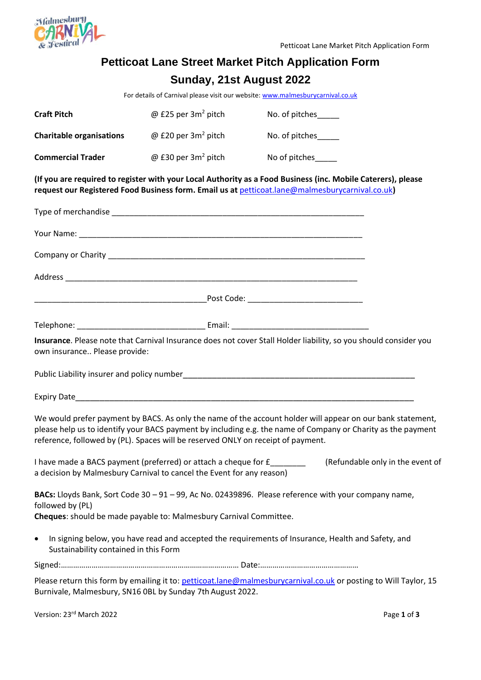

## **Petticoat Lane Street Market Pitch Application Form Sunday, 21st August 2022**

For details of Carnival please visit our website[: www.malmesburycarnival.co.uk](http://www.malmesburycarnival.co.uk/)

| <b>Craft Pitch</b>                                 | @ £25 per $3m^2$ pitch                                                                                                                          | No. of pitches_____                                                                                                                                                                                                        |  |
|----------------------------------------------------|-------------------------------------------------------------------------------------------------------------------------------------------------|----------------------------------------------------------------------------------------------------------------------------------------------------------------------------------------------------------------------------|--|
| <b>Charitable organisations</b>                    | @ £20 per $3m^2$ pitch                                                                                                                          | No. of pitches_____                                                                                                                                                                                                        |  |
| <b>Commercial Trader</b>                           | @ £30 per $3m^2$ pitch                                                                                                                          | No of pitches                                                                                                                                                                                                              |  |
|                                                    |                                                                                                                                                 | (If you are required to register with your Local Authority as a Food Business (inc. Mobile Caterers), please<br>request our Registered Food Business form. Email us at petticoat.lane@malmesburycarnival.co.uk)            |  |
|                                                    |                                                                                                                                                 |                                                                                                                                                                                                                            |  |
|                                                    |                                                                                                                                                 |                                                                                                                                                                                                                            |  |
|                                                    |                                                                                                                                                 |                                                                                                                                                                                                                            |  |
|                                                    |                                                                                                                                                 |                                                                                                                                                                                                                            |  |
|                                                    |                                                                                                                                                 |                                                                                                                                                                                                                            |  |
|                                                    |                                                                                                                                                 |                                                                                                                                                                                                                            |  |
| own insurance Please provide:                      |                                                                                                                                                 | Insurance. Please note that Carnival Insurance does not cover Stall Holder liability, so you should consider you                                                                                                           |  |
|                                                    |                                                                                                                                                 |                                                                                                                                                                                                                            |  |
|                                                    | reference, followed by (PL). Spaces will be reserved ONLY on receipt of payment.                                                                | We would prefer payment by BACS. As only the name of the account holder will appear on our bank statement,<br>please help us to identify your BACS payment by including e.g. the name of Company or Charity as the payment |  |
|                                                    | I have made a BACS payment (preferred) or attach a cheque for £_______<br>a decision by Malmesbury Carnival to cancel the Event for any reason) | (Refundable only in the event of                                                                                                                                                                                           |  |
| followed by (PL)                                   |                                                                                                                                                 | BACs: Lloyds Bank, Sort Code 30 - 91 - 99, Ac No. 02439896. Please reference with your company name,                                                                                                                       |  |
|                                                    | Cheques: should be made payable to: Malmesbury Carnival Committee.                                                                              |                                                                                                                                                                                                                            |  |
| $\bullet$<br>Sustainability contained in this Form |                                                                                                                                                 | In signing below, you have read and accepted the requirements of Insurance, Health and Safety, and                                                                                                                         |  |
|                                                    |                                                                                                                                                 |                                                                                                                                                                                                                            |  |
|                                                    | Burnivale, Malmesbury, SN16 0BL by Sunday 7th August 2022.                                                                                      | Please return this form by emailing it to: petticoat.lane@malmesburycarnival.co.uk or posting to Will Taylor, 15                                                                                                           |  |

Version: 23rd March 2022 Page **1** of **3**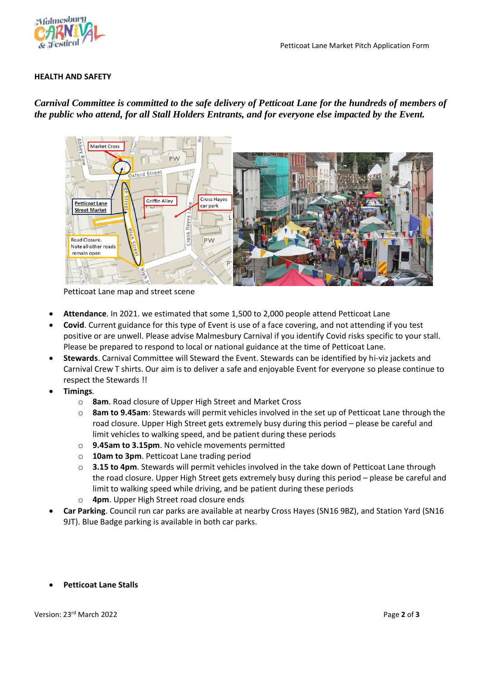

## **HEALTH AND SAFETY**

## *Carnival Committee is committed to the safe delivery of Petticoat Lane for the hundreds of members of the public who attend, for all Stall Holders Entrants, and for everyone else impacted by the Event.*



Petticoat Lane map and street scene

- **Attendance**. In 2021. we estimated that some 1,500 to 2,000 people attend Petticoat Lane
- **Covid**. Current guidance for this type of Event is use of a face covering, and not attending if you test positive or are unwell. Please advise Malmesbury Carnival if you identify Covid risks specific to your stall. Please be prepared to respond to local or national guidance at the time of Petticoat Lane.
- **Stewards**. Carnival Committee will Steward the Event. Stewards can be identified by hi-viz jackets and Carnival Crew T shirts. Our aim is to deliver a safe and enjoyable Event for everyone so please continue to respect the Stewards !!
- **Timings**.
	- o **8am**. Road closure of Upper High Street and Market Cross
	- o **8am to 9.45am**: Stewards will permit vehicles involved in the set up of Petticoat Lane through the road closure. Upper High Street gets extremely busy during this period – please be careful and limit vehicles to walking speed, and be patient during these periods
	- o **9.45am to 3.15pm**. No vehicle movements permitted
	- o **10am to 3pm**. Petticoat Lane trading period
	- o **3.15 to 4pm**. Stewards will permit vehicles involved in the take down of Petticoat Lane through the road closure. Upper High Street gets extremely busy during this period – please be careful and limit to walking speed while driving, and be patient during these periods
	- o **4pm**. Upper High Street road closure ends
- **Car Parking**. Council run car parks are available at nearby Cross Hayes (SN16 9BZ), and Station Yard (SN16 9JT). Blue Badge parking is available in both car parks.
- **Petticoat Lane Stalls**